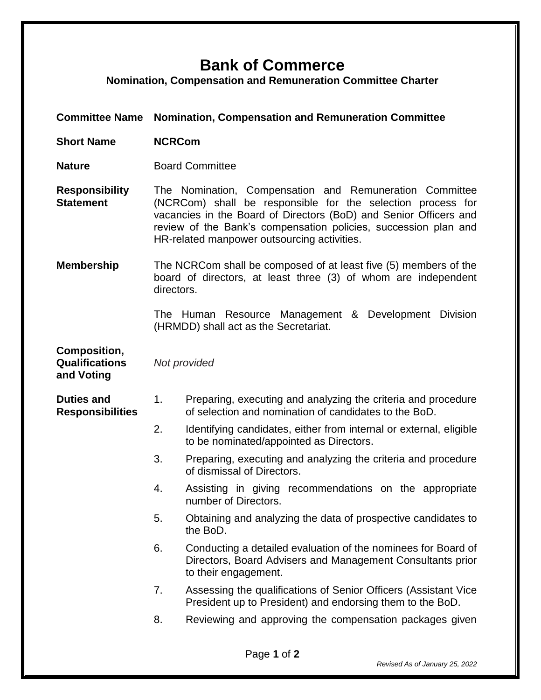## **Bank of Commerce**

**Nomination, Compensation and Remuneration Committee Charter**

**Committee Name Nomination, Compensation and Remuneration Committee Short Name NCRCom Nature Board Committee Responsibility Statement** The Nomination, Compensation and Remuneration Committee (NCRCom) shall be responsible for the selection process for vacancies in the Board of Directors (BoD) and Senior Officers and review of the Bank's compensation policies, succession plan and HR-related manpower outsourcing activities. **Membership** The NCRCom shall be composed of at least five (5) members of the board of directors, at least three (3) of whom are independent directors. The Human Resource Management & Development Division (HRMDD) shall act as the Secretariat. **Composition, Qualifications and Voting** *Not provided* **Duties and Responsibilities** 1. Preparing, executing and analyzing the criteria and procedure of selection and nomination of candidates to the BoD. 2. Identifying candidates, either from internal or external, eligible to be nominated/appointed as Directors. 3. Preparing, executing and analyzing the criteria and procedure of dismissal of Directors. 4. Assisting in giving recommendations on the appropriate number of Directors. 5. Obtaining and analyzing the data of prospective candidates to the BoD. 6. Conducting a detailed evaluation of the nominees for Board of Directors, Board Advisers and Management Consultants prior to their engagement. 7. Assessing the qualifications of Senior Officers (Assistant Vice President up to President) and endorsing them to the BoD. 8. Reviewing and approving the compensation packages given